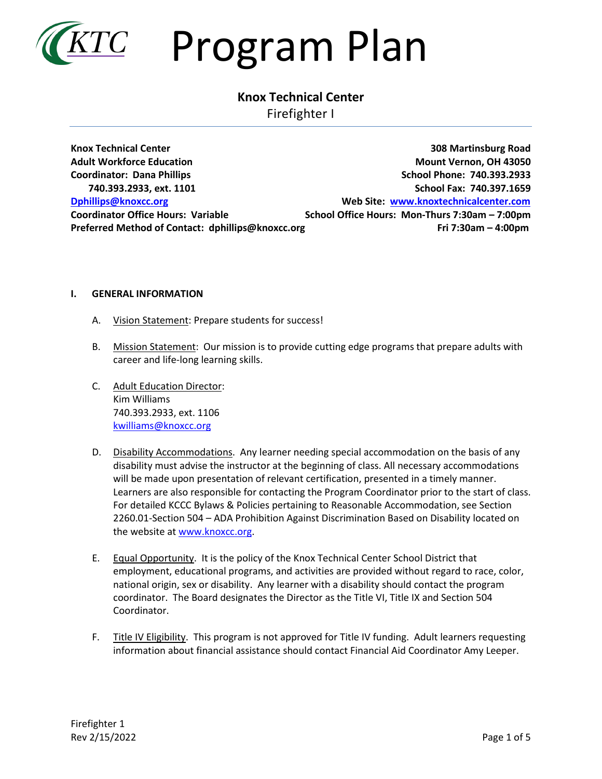

### **Knox Technical Center**

Firefighter I

**Knox Technical Center 308 Martinsburg Road Adult Workforce Education Mount Vernon, OH 43050 Coordinator: Dana Phillips School Phone: 740.393.2933 740.393.2933, ext. 1101 School Fax: 740.397.1659 [Dphillips@knoxcc.org](mailto:Dphillips@knoxcc.org) Web Site: [www.knoxtechnicalcenter.com](http://www.knoxtechnicalcenter.com/) Coordinator Office Hours: Variable School Office Hours: Mon-Thurs 7:30am – 7:00pm Preferred Method of Contact: dphillips@knoxcc.org Fri 7:30am – 4:00pm** 

#### **I. GENERAL INFORMATION**

- A. Vision Statement: Prepare students for success!
- B. Mission Statement: Our mission is to provide cutting edge programs that prepare adults with career and life-long learning skills.
- C. Adult Education Director: Kim Williams 740.393.2933, ext. 1106 [kwilliams@knoxcc.org](mailto:kwilliams@knoxcc.org)
- D. Disability Accommodations. Any learner needing special accommodation on the basis of any disability must advise the instructor at the beginning of class. All necessary accommodations will be made upon presentation of relevant certification, presented in a timely manner. Learners are also responsible for contacting the Program Coordinator prior to the start of class. For detailed KCCC Bylaws & Policies pertaining to Reasonable Accommodation, see Section 2260.01-Section 504 – ADA Prohibition Against Discrimination Based on Disability located on the website a[t www.knoxcc.org.](http://www.knoxcc.org/)
- E. Equal Opportunity. It is the policy of the Knox Technical Center School District that employment, educational programs, and activities are provided without regard to race, color, national origin, sex or disability. Any learner with a disability should contact the program coordinator. The Board designates the Director as the Title VI, Title IX and Section 504 Coordinator.
- F. Title IV Eligibility. This program is not approved for Title IV funding. Adult learners requesting information about financial assistance should contact Financial Aid Coordinator Amy Leeper.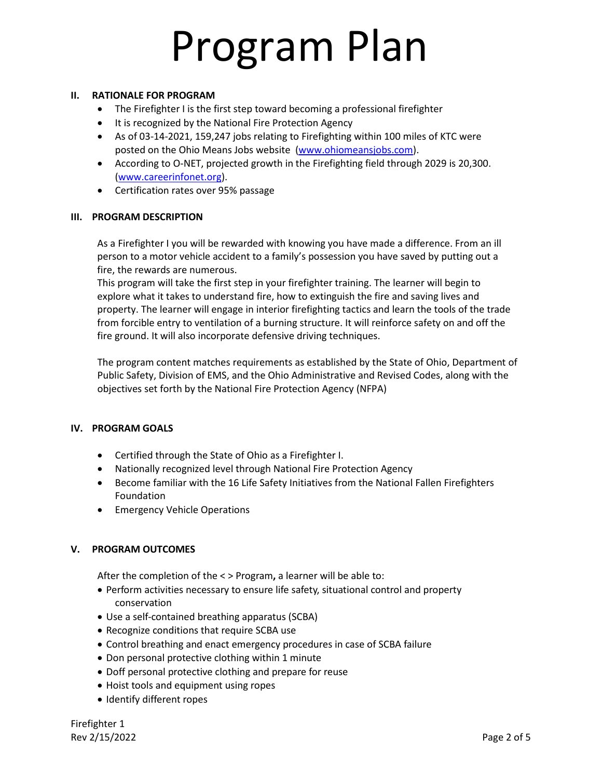#### **II. RATIONALE FOR PROGRAM**

- The Firefighter I is the first step toward becoming a professional firefighter
- It is recognized by the National Fire Protection Agency
- As of 03-14-2021, 159,247 jobs relating to Firefighting within 100 miles of KTC were posted on the Ohio Means Jobs website [\(www.ohiomeansjobs.com\)](http://www.ohiomeansjobs.com/).
- According to O-NET, projected growth in the Firefighting field through 2029 is 20,300. [\(www.careerinfonet.org\)](http://www.careerinfonet.org/).
- Certification rates over 95% passage

#### **III. PROGRAM DESCRIPTION**

As a Firefighter I you will be rewarded with knowing you have made a difference. From an ill person to a motor vehicle accident to a family's possession you have saved by putting out a fire, the rewards are numerous.

This program will take the first step in your firefighter training. The learner will begin to explore what it takes to understand fire, how to extinguish the fire and saving lives and property. The learner will engage in interior firefighting tactics and learn the tools of the trade from forcible entry to ventilation of a burning structure. It will reinforce safety on and off the fire ground. It will also incorporate defensive driving techniques.

The program content matches requirements as established by the State of Ohio, Department of Public Safety, Division of EMS, and the Ohio Administrative and Revised Codes, along with the objectives set forth by the National Fire Protection Agency (NFPA)

#### **IV. PROGRAM GOALS**

- Certified through the State of Ohio as a Firefighter I.
- Nationally recognized level through National Fire Protection Agency
- Become familiar with the 16 Life Safety Initiatives from the National Fallen Firefighters Foundation
- Emergency Vehicle Operations

#### **V. PROGRAM OUTCOMES**

After the completion of the < > Program**,** a learner will be able to:

- Perform activities necessary to ensure life safety, situational control and property conservation
- Use a self-contained breathing apparatus (SCBA)
- Recognize conditions that require SCBA use
- Control breathing and enact emergency procedures in case of SCBA failure
- Don personal protective clothing within 1 minute
- Doff personal protective clothing and prepare for reuse
- Hoist tools and equipment using ropes
- Identify different ropes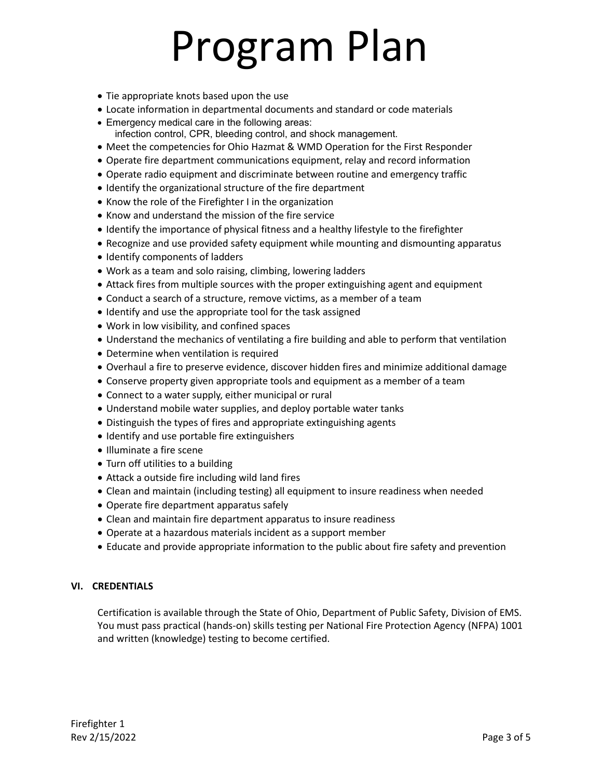- Tie appropriate knots based upon the use
- Locate information in departmental documents and standard or code materials
- Emergency medical care in the following areas: infection control, CPR, bleeding control, and shock management.
- Meet the competencies for Ohio Hazmat & WMD Operation for the First Responder
- Operate fire department communications equipment, relay and record information
- Operate radio equipment and discriminate between routine and emergency traffic
- Identify the organizational structure of the fire department
- Know the role of the Firefighter I in the organization
- Know and understand the mission of the fire service
- Identify the importance of physical fitness and a healthy lifestyle to the firefighter
- Recognize and use provided safety equipment while mounting and dismounting apparatus
- Identify components of ladders
- Work as a team and solo raising, climbing, lowering ladders
- Attack fires from multiple sources with the proper extinguishing agent and equipment
- Conduct a search of a structure, remove victims, as a member of a team
- Identify and use the appropriate tool for the task assigned
- Work in low visibility, and confined spaces
- Understand the mechanics of ventilating a fire building and able to perform that ventilation
- Determine when ventilation is required
- Overhaul a fire to preserve evidence, discover hidden fires and minimize additional damage
- Conserve property given appropriate tools and equipment as a member of a team
- Connect to a water supply, either municipal or rural
- Understand mobile water supplies, and deploy portable water tanks
- Distinguish the types of fires and appropriate extinguishing agents
- Identify and use portable fire extinguishers
- Illuminate a fire scene
- Turn off utilities to a building
- Attack a outside fire including wild land fires
- Clean and maintain (including testing) all equipment to insure readiness when needed
- Operate fire department apparatus safely
- Clean and maintain fire department apparatus to insure readiness
- Operate at a hazardous materials incident as a support member
- Educate and provide appropriate information to the public about fire safety and prevention

#### **VI. CREDENTIALS**

Certification is available through the State of Ohio, Department of Public Safety, Division of EMS. You must pass practical (hands-on) skills testing per National Fire Protection Agency (NFPA) 1001 and written (knowledge) testing to become certified.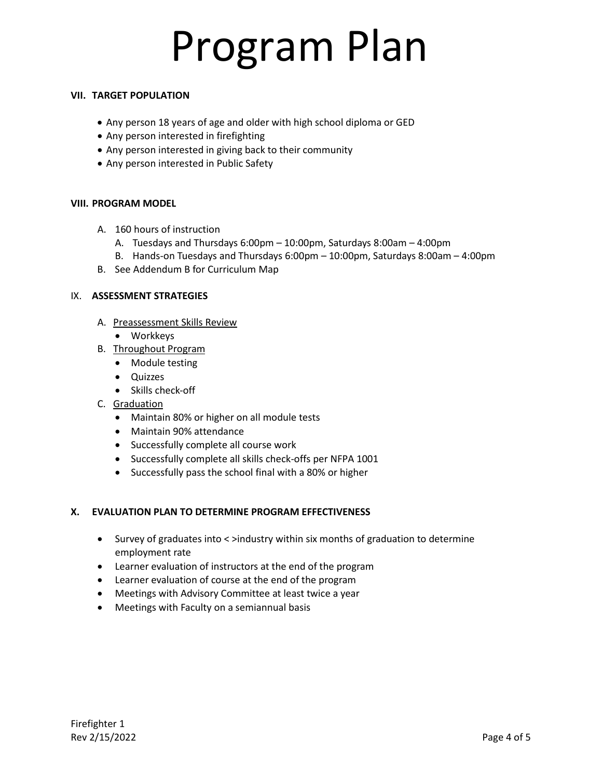#### **VII. TARGET POPULATION**

- Any person 18 years of age and older with high school diploma or GED
- Any person interested in firefighting
- Any person interested in giving back to their community
- Any person interested in Public Safety

#### **VIII. PROGRAM MODEL**

- A. 160 hours of instruction
	- A. Tuesdays and Thursdays 6:00pm 10:00pm, Saturdays 8:00am 4:00pm
	- B. Hands-on Tuesdays and Thursdays 6:00pm 10:00pm, Saturdays 8:00am 4:00pm
- B. See Addendum B for Curriculum Map

#### IX. **ASSESSMENT STRATEGIES**

- A. Preassessment Skills Review
	- Workkeys
- B. Throughout Program
	- Module testing
	- Quizzes
	- Skills check-off
- C. Graduation
	- Maintain 80% or higher on all module tests
	- Maintain 90% attendance
	- Successfully complete all course work
	- Successfully complete all skills check-offs per NFPA 1001
	- Successfully pass the school final with a 80% or higher

#### **X. EVALUATION PLAN TO DETERMINE PROGRAM EFFECTIVENESS**

- Survey of graduates into < >industry within six months of graduation to determine employment rate
- Learner evaluation of instructors at the end of the program
- Learner evaluation of course at the end of the program
- Meetings with Advisory Committee at least twice a year
- Meetings with Faculty on a semiannual basis